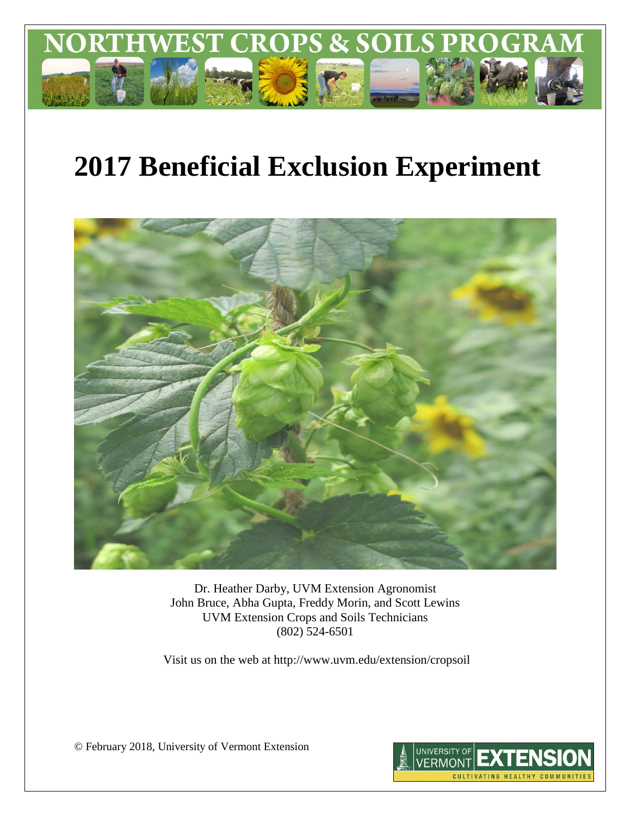

# **2017 Beneficial Exclusion Experiment**



Dr. Heather Darby, UVM Extension Agronomist John Bruce, Abha Gupta, Freddy Morin, and Scott Lewins UVM Extension Crops and Soils Technicians (802) 524-6501

Visit us on the web at http://www.uvm.edu/extension/cropsoil

© February 2018, University of Vermont Extension

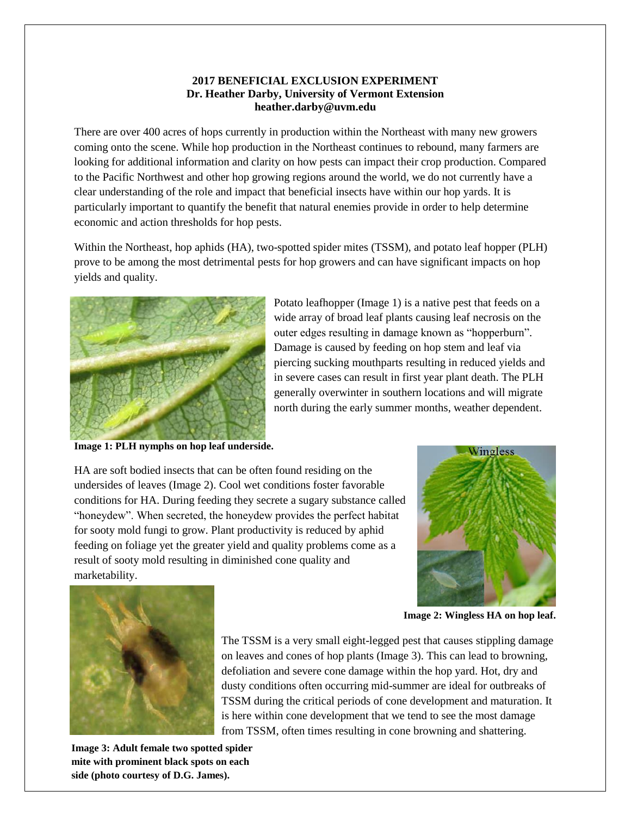#### **2017 BENEFICIAL EXCLUSION EXPERIMENT Dr. Heather Darby, University of Vermont Extension heather.darby@uvm.edu**

There are over 400 acres of hops currently in production within the Northeast with many new growers coming onto the scene. While hop production in the Northeast continues to rebound, many farmers are looking for additional information and clarity on how pests can impact their crop production. Compared to the Pacific Northwest and other hop growing regions around the world, we do not currently have a clear understanding of the role and impact that beneficial insects have within our hop yards. It is particularly important to quantify the benefit that natural enemies provide in order to help determine economic and action thresholds for hop pests.

Within the Northeast, hop aphids (HA), two-spotted spider mites (TSSM), and potato leaf hopper (PLH) prove to be among the most detrimental pests for hop growers and can have significant impacts on hop yields and quality.



**Image 1: PLH nymphs on hop leaf underside.**

Potato leafhopper (Image 1) is a native pest that feeds on a wide array of broad leaf plants causing leaf necrosis on the outer edges resulting in damage known as "hopperburn". Damage is caused by feeding on hop stem and leaf via piercing sucking mouthparts resulting in reduced yields and in severe cases can result in first year plant death. The PLH generally overwinter in southern locations and will migrate north during the early summer months, weather dependent.

HA are soft bodied insects that can be often found residing on the undersides of leaves (Image 2). Cool wet conditions foster favorable conditions for HA. During feeding they secrete a sugary substance called "honeydew". When secreted, the honeydew provides the perfect habitat for sooty mold fungi to grow. Plant productivity is reduced by aphid feeding on foliage yet the greater yield and quality problems come as a result of sooty mold resulting in diminished cone quality and marketability.





**Image 2: Wingless HA on hop leaf.**

The TSSM is a very small eight-legged pest that causes stippling damage on leaves and cones of hop plants (Image 3). This can lead to browning, defoliation and severe cone damage within the hop yard. Hot, dry and dusty conditions often occurring mid-summer are ideal for outbreaks of TSSM during the critical periods of cone development and maturation. It is here within cone development that we tend to see the most damage from TSSM, often times resulting in cone browning and shattering.

**Image 3: Adult female two spotted spider mite with prominent black spots on each side (photo courtesy of D.G. James).**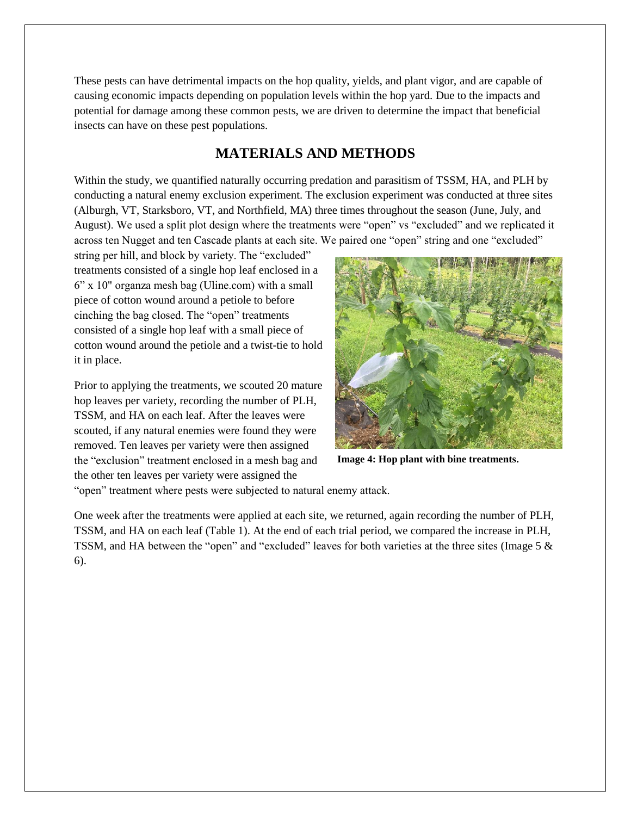These pests can have detrimental impacts on the hop quality, yields, and plant vigor, and are capable of causing economic impacts depending on population levels within the hop yard. Due to the impacts and potential for damage among these common pests, we are driven to determine the impact that beneficial insects can have on these pest populations.

# **MATERIALS AND METHODS**

Within the study, we quantified naturally occurring predation and parasitism of TSSM, HA, and PLH by conducting a natural enemy exclusion experiment. The exclusion experiment was conducted at three sites (Alburgh, VT, Starksboro, VT, and Northfield, MA) three times throughout the season (June, July, and August). We used a split plot design where the treatments were "open" vs "excluded" and we replicated it across ten Nugget and ten Cascade plants at each site. We paired one "open" string and one "excluded"

string per hill, and block by variety. The "excluded" treatments consisted of a single hop leaf enclosed in a 6" x 10" organza mesh bag (Uline.com) with a small piece of cotton wound around a petiole to before cinching the bag closed. The "open" treatments consisted of a single hop leaf with a small piece of cotton wound around the petiole and a twist-tie to hold it in place.

Prior to applying the treatments, we scouted 20 mature hop leaves per variety, recording the number of PLH, TSSM, and HA on each leaf. After the leaves were scouted, if any natural enemies were found they were removed. Ten leaves per variety were then assigned the "exclusion" treatment enclosed in a mesh bag and the other ten leaves per variety were assigned the



**Image 4: Hop plant with bine treatments.**

"open" treatment where pests were subjected to natural enemy attack.

One week after the treatments were applied at each site, we returned, again recording the number of PLH, TSSM, and HA on each leaf (Table 1). At the end of each trial period, we compared the increase in PLH, TSSM, and HA between the "open" and "excluded" leaves for both varieties at the three sites (Image 5 & 6).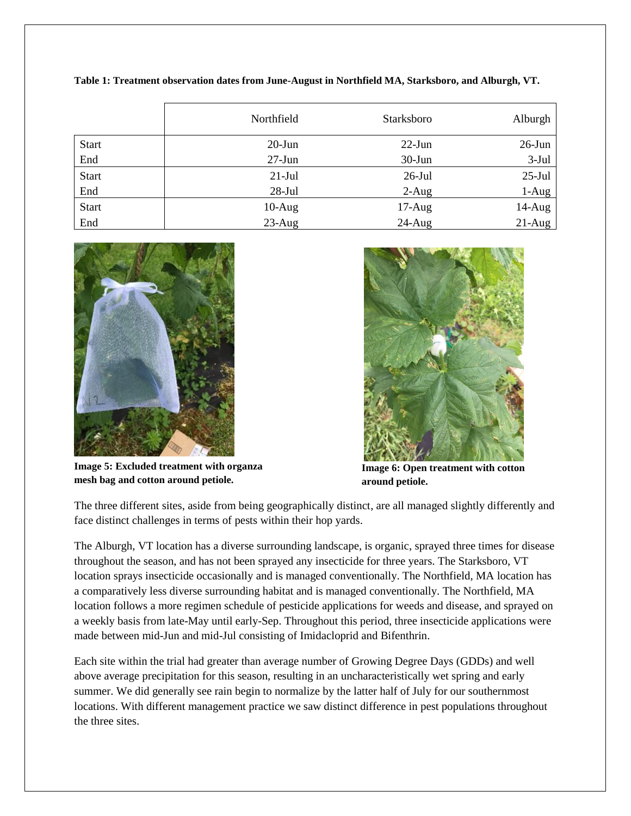|              | Northfield | Starksboro | Alburgh   |
|--------------|------------|------------|-----------|
| <b>Start</b> | $20$ -Jun  | $22$ -Jun  | $26$ -Jun |
| End          | $27$ -Jun  | $30-J$ un  | $3-Jul$   |
| <b>Start</b> | $21-Jul$   | $26$ -Jul  | $25$ -Jul |
| End          | $28-Jul$   | $2-Aug$    | $1-Aug$   |
| <b>Start</b> | $10-Aug$   | $17-Aug$   | $14-Aug$  |
| End          | $23$ -Aug  | $24$ -Aug  | $21-Aug$  |

**Table 1: Treatment observation dates from June-August in Northfield MA, Starksboro, and Alburgh, VT.**



**Image 5: Excluded treatment with organza mesh bag and cotton around petiole.** 



**Image 6: Open treatment with cotton around petiole.**

The three different sites, aside from being geographically distinct, are all managed slightly differently and face distinct challenges in terms of pests within their hop yards.

The Alburgh, VT location has a diverse surrounding landscape, is organic, sprayed three times for disease throughout the season, and has not been sprayed any insecticide for three years. The Starksboro, VT location sprays insecticide occasionally and is managed conventionally. The Northfield, MA location has a comparatively less diverse surrounding habitat and is managed conventionally. The Northfield, MA location follows a more regimen schedule of pesticide applications for weeds and disease, and sprayed on a weekly basis from late-May until early-Sep. Throughout this period, three insecticide applications were made between mid-Jun and mid-Jul consisting of Imidacloprid and Bifenthrin.

Each site within the trial had greater than average number of Growing Degree Days (GDDs) and well above average precipitation for this season, resulting in an uncharacteristically wet spring and early summer. We did generally see rain begin to normalize by the latter half of July for our southernmost locations. With different management practice we saw distinct difference in pest populations throughout the three sites.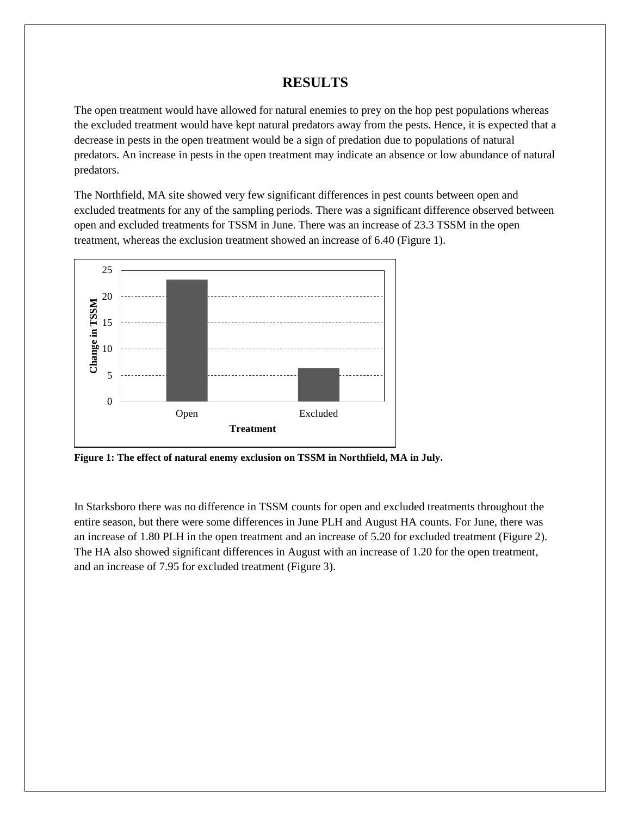# **RESULTS**

The open treatment would have allowed for natural enemies to prey on the hop pest populations whereas the excluded treatment would have kept natural predators away from the pests. Hence, it is expected that a decrease in pests in the open treatment would be a sign of predation due to populations of natural predators. An increase in pests in the open treatment may indicate an absence or low abundance of natural predators.

The Northfield, MA site showed very few significant differences in pest counts between open and excluded treatments for any of the sampling periods. There was a significant difference observed between open and excluded treatments for TSSM in June. There was an increase of 23.3 TSSM in the open treatment, whereas the exclusion treatment showed an increase of 6.40 (Figure 1).



**Figure 1: The effect of natural enemy exclusion on TSSM in Northfield, MA in July.**

In Starksboro there was no difference in TSSM counts for open and excluded treatments throughout the entire season, but there were some differences in June PLH and August HA counts. For June, there was an increase of 1.80 PLH in the open treatment and an increase of 5.20 for excluded treatment (Figure 2). The HA also showed significant differences in August with an increase of 1.20 for the open treatment, and an increase of 7.95 for excluded treatment (Figure 3).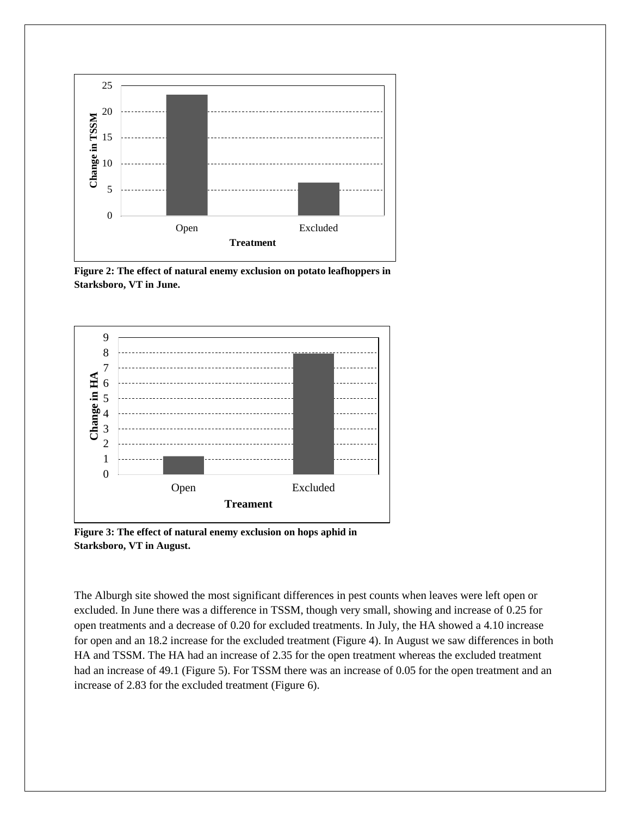

**Figure 2: The effect of natural enemy exclusion on potato leafhoppers in Starksboro, VT in June.**



**Figure 3: The effect of natural enemy exclusion on hops aphid in Starksboro, VT in August.**

The Alburgh site showed the most significant differences in pest counts when leaves were left open or excluded. In June there was a difference in TSSM, though very small, showing and increase of 0.25 for open treatments and a decrease of 0.20 for excluded treatments. In July, the HA showed a 4.10 increase for open and an 18.2 increase for the excluded treatment (Figure 4). In August we saw differences in both HA and TSSM. The HA had an increase of 2.35 for the open treatment whereas the excluded treatment had an increase of 49.1 (Figure 5). For TSSM there was an increase of 0.05 for the open treatment and an increase of 2.83 for the excluded treatment (Figure 6).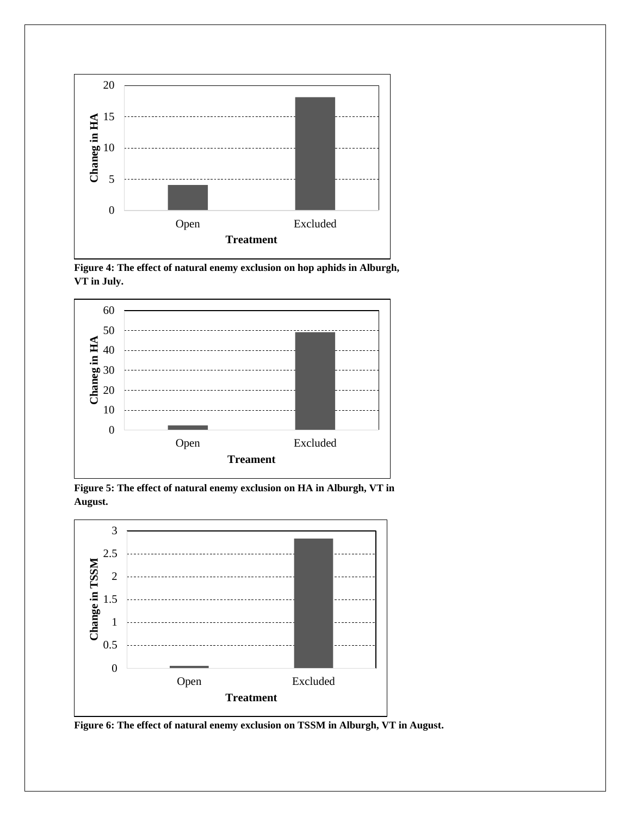

**Figure 4: The effect of natural enemy exclusion on hop aphids in Alburgh, VT in July.**



**Figure 5: The effect of natural enemy exclusion on HA in Alburgh, VT in August.**



**Figure 6: The effect of natural enemy exclusion on TSSM in Alburgh, VT in August.**